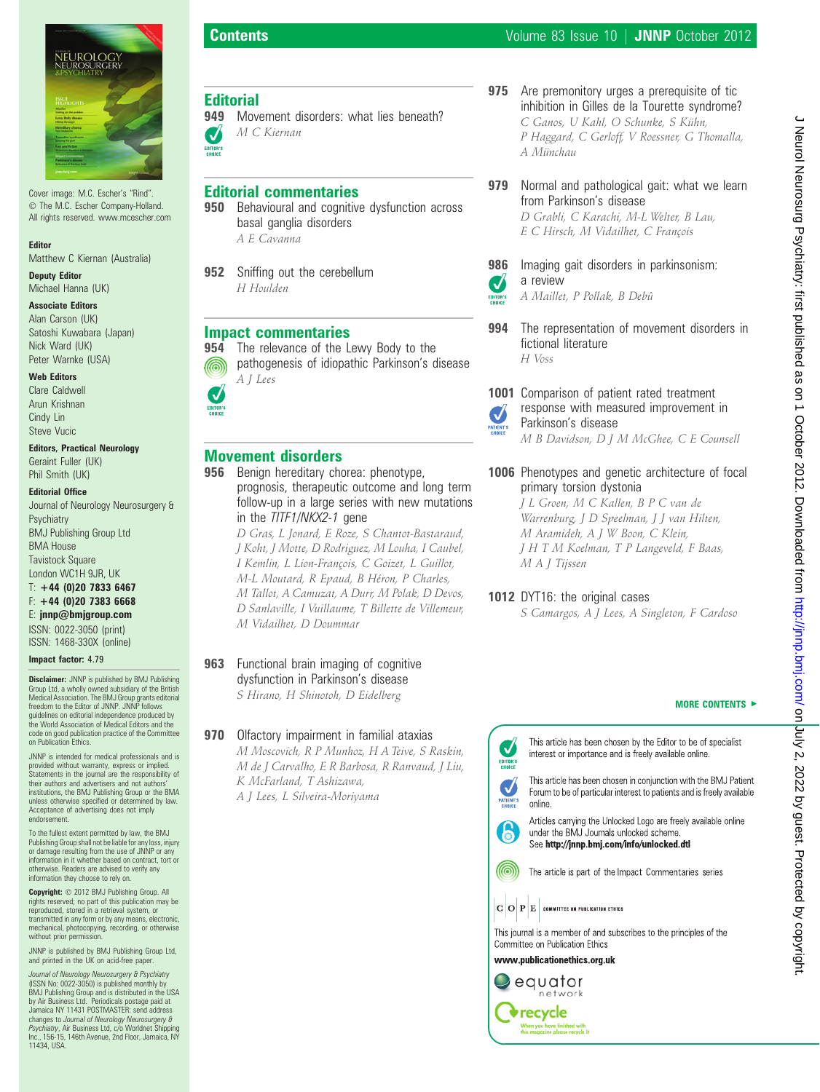

Cover image: M.C. Escher's "Rind". The M.C. Escher Company-Holland. All rights reserved. www.mcescher.com

#### Editor

Matthew C Kiernan (Australia) Deputy Editor

Michael Hanna (UK)

### Associate Editors

Alan Carson (UK) Satoshi Kuwabara (Japan) Nick Ward (UK) Peter Warnke (USA)

#### Web Editors

Clare Caldwell Arun Krishnan Cindy Lin Steve Vucic

#### Editors, Practical Neurology

Geraint Fuller (UK) Phil Smith (UK)

#### Editorial Office

Journal of Neurology Neurosurgery & Psychiatry BMJ Publishing Group Ltd BMA House Tavistock Square London WC1H 9JR, UK  $T: +44$  (0)20 7833 6467

# F: +44 (0)20 7383 6668

E: jnnp@bmjgroup.com ISSN: 0022-3050 (print)

ISSN: 1468-330X (online)

Impact factor: 4.79

**Disclaimer:** JNNP is published by BMJ Publishing Group Ltd, a wholly owned subsidiary of the British Medical Association. The BMJ Group grants editorial freedom to the Editor of JNNP. JNNP follows guidelines on editorial independence produced by the World Association of Medical Editors and the code on good publication practice of the Committee on Publication Ethics.

JNNP is intended for medical professionals and is provided without warranty, express or implied. Statements in the journal are the responsibility of their authors and advertisers and not authors' institutions, the BMJ Publishing Group or the BMA unless otherwise specified or determined by law. Acceptance of advertising does not imply endorsement.

To the fullest extent permitted by law, the BMJ Publishing Group shall not be liable for any loss, injury or damage resulting from the use of JNNP or any information in it whether based on contract, tort or otherwise. Readers are advised to verify any information they choose to rely on.

Copyright:  $© 2012$  BMJ Publishing Group. All rights reserved; no part of this publication may be reproduced, stored in a retrieval system, or transmitted in any form or by any means, electronic, mechanical, photocopying, recording, or otherwise without prior permission.

JNNP is published by BMJ Publishing Group Ltd, and printed in the UK on acid-free pape

(ISSN No: 0022-3050) is published monthly by<br>BMJ Publishing Group and is distributed in the USA<br>by Air Business Ltd. Periodicals postage paid at Jamaica NY 11431 POSTMASTER: send address<br>changes to *Journal of Neurology Neurosurgery &*<br>*Psychiatry*, Air Business Ltd, c/o Worldnet Shipping<br>Inc., 156-15, 146th Avenue, 2nd Floor, Jamaica, NY<br>11434, USA.

**Editorial**<br>949 Mov

IJ EDITOR'S M C Kiernan

A E Cavanna

H Houlden

A J Lees

@

J EDITOR'S

Editorial commentaries

basal ganglia disorders

**952** Sniffing out the cerebellum

Impact commentaries

Movement disorders

Movement disorders: what lies beneath?

**950** Behavioural and cognitive dysfunction across

954 The relevance of the Lewy Body to the

956 Benign hereditary chorea: phenotype,

in the TITF1/NKX2-1 gene

M Vidailhet, D Doummar

**963** Functional brain imaging of cognitive dysfunction in Parkinson's disease S Hirano, H Shinotoh, D Eidelberg

**970** Olfactory impairment in familial ataxias

K McFarland, T Ashizawa, A J Lees, L Silveira-Moriyama

M Moscovich, R P Munhoz, H A Teive, S Raskin, M de J Carvalho, E R Barbosa, R Ranvaud, J Liu,

pathogenesis of idiopathic Parkinson's disease

prognosis, therapeutic outcome and long term follow-up in a large series with new mutations

D Gras, L Jonard, E Roze, S Chantot-Bastaraud, J Koht, J Motte, D Rodriguez, M Louha, I Caubel, I Kemlin, L Lion-François, C Goizet, L Guillot, M-L Moutard, R Epaud, B Héron, P Charles, M Tallot, A Camuzat, A Durr, M Polak, D Devos, D Sanlaville, I Vuillaume, T Billette de Villemeur, 975 Are premonitory urges a prerequisite of tic inhibition in Gilles de la Tourette syndrome? C Ganos, U Kahl, O Schunke, S Kühn, P Haggard, C Gerloff, V Roessner, G Thomalla, A Münchau

### 979 Normal and pathological gait: what we learn from Parkinson's disease D Grabli, C Karachi, M-L Welter, B Lau, E C Hirsch, M Vidailhet, C François

986 Imaging gait disorders in parkinsonism: a review



A Maillet, P Pollak, B Debû

- 994 The representation of movement disorders in fictional literature H Voss
- 1001 Comparison of patient rated treatment response with measured improvement in Parkinson's disease M B Davidson, D J M McGhee, C E Counsell
- 1006 Phenotypes and genetic architecture of focal primary torsion dystonia

J L Groen, M C Kallen, B P C van de Warrenburg, J D Speelman, J J van Hilten, M Aramideh, A J W Boon, C Klein, J H T M Koelman, T P Langeveld, F Baas, M A J Tijssen

# 1012 DYT16: the original cases

S Camargos, A J Lees, A Singleton, F Cardoso

#### MORE CONTENTS  $\blacktriangleright$

This article has been chosen by the Editor to be of specialist interest or importance and is freely available online.

This article has been chosen in conjunction with the BMJ Patient Forum to be of particular interest to patients and is freely available online



 $\checkmark$ 

EDITOR'S

 $\boldsymbol{\mathcal{U}}$ 

Articles carrying the Unlocked Logo are freely available online under the BMJ Journals unlocked scheme. See http://jnnp.bmj.com/info/unlocked.dtl

(രി The article is part of the Impact Commentaries series

 $|\mathbf{G}|\mathbf{O}|\mathbf{P}|\mathbf{E}|$  committee on publication ethics



www.publicationethics.org.uk

 $\blacktriangleright$  equator network